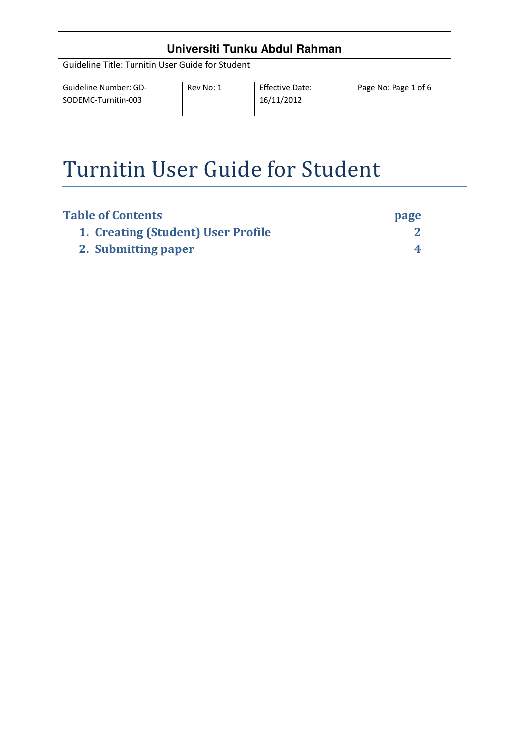# **Universiti Tunku Abdul Rahman**

Guideline Title: Turnitin User Guide for Student

| Guideline Number: GD- | Rev No: 1 | Effective Date: | Page No: Page 1 of 6 |
|-----------------------|-----------|-----------------|----------------------|
| SODEMC-Turnitin-003   |           | 16/11/2012      |                      |
|                       |           |                 |                      |

## Turnitin User Guide for Student

| <b>Table of Contents</b>           | page |
|------------------------------------|------|
| 1. Creating (Student) User Profile |      |
| 2. Submitting paper                |      |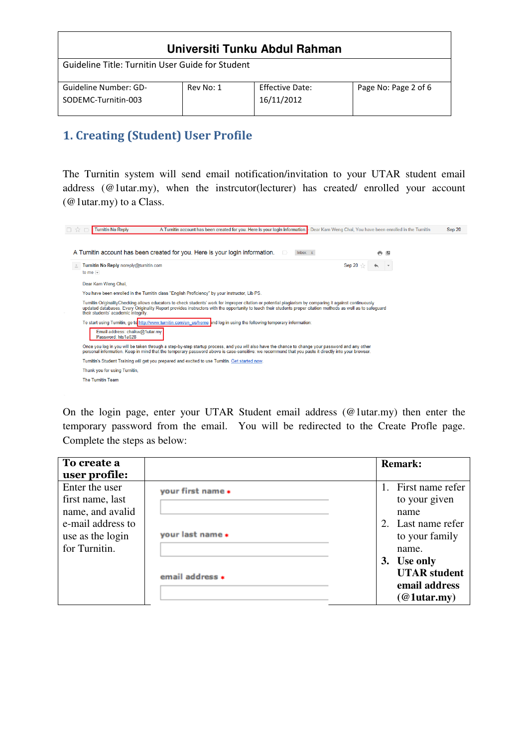| Universiti Tunku Abdul Rahman                    |           |                                      |                      |  |  |  |
|--------------------------------------------------|-----------|--------------------------------------|----------------------|--|--|--|
| Guideline Title: Turnitin User Guide for Student |           |                                      |                      |  |  |  |
| Guideline Number: GD-<br>SODEMC-Turnitin-003     | Rev No: 1 | <b>Effective Date:</b><br>16/11/2012 | Page No: Page 2 of 6 |  |  |  |

## 1. Creating (Student) User Profile

The Turnitin system will send email notification/invitation to your UTAR student email address (@1utar.my), when the instrcutor(lecturer) has created/ enrolled your account (@1utar.my) to a Class.

| Turnitin No Reply noreply@turnitin.com               |                                                                                                                                                                                                                                                                                                                           | Sep 20 |  |
|------------------------------------------------------|---------------------------------------------------------------------------------------------------------------------------------------------------------------------------------------------------------------------------------------------------------------------------------------------------------------------------|--------|--|
| to me $\vert \mathbf{v} \vert$                       |                                                                                                                                                                                                                                                                                                                           |        |  |
| Dear Kam Weng Chai.                                  |                                                                                                                                                                                                                                                                                                                           |        |  |
|                                                      | You have been enrolled in the Turnitin class "English Proficiency" by your instructor, Lib PS.                                                                                                                                                                                                                            |        |  |
| their students' academic integrity.                  | Turnitin OriginalityChecking allows educators to check students' work for improper citation or potential plagiarism by comparing it against continuously<br>updated databases. Every Originality Report provides instructors with the opportunity to teach their students proper citation methods as well as to safeguard |        |  |
|                                                      | To start using Turnitin, go to http://www.turnitin.com/en us/home and log in using the following temporary information:                                                                                                                                                                                                   |        |  |
| Email address: chaikw@1utar.my<br>Password: hts1a028 |                                                                                                                                                                                                                                                                                                                           |        |  |
|                                                      |                                                                                                                                                                                                                                                                                                                           |        |  |
|                                                      | Once you log in you will be taken through a step-by-step startup process, and you will also have the chance to change your password and any other<br>personal information. Keep in mind that the temporary password above is case-sensitive: we recommend that you paste it directly into your browser.                   |        |  |

On the login page, enter your UTAR Student email address (@1utar.my) then enter the temporary password from the email. You will be redirected to the Create Profle page. Complete the steps as below:

| To create a       |                   | <b>Remark:</b>      |
|-------------------|-------------------|---------------------|
| user profile:     |                   |                     |
| Enter the user    | your first name * | 1. First name refer |
| first name, last  |                   | to your given       |
| name, and avalid  |                   | name                |
| e-mail address to |                   | 2. Last name refer  |
| use as the login  | your last name *  | to your family      |
| for Turnitin.     |                   | name.               |
|                   |                   | 3. Use only         |
|                   | email address *   | <b>UTAR</b> student |
|                   |                   | email address       |
|                   |                   | $(@1$ utar.my)      |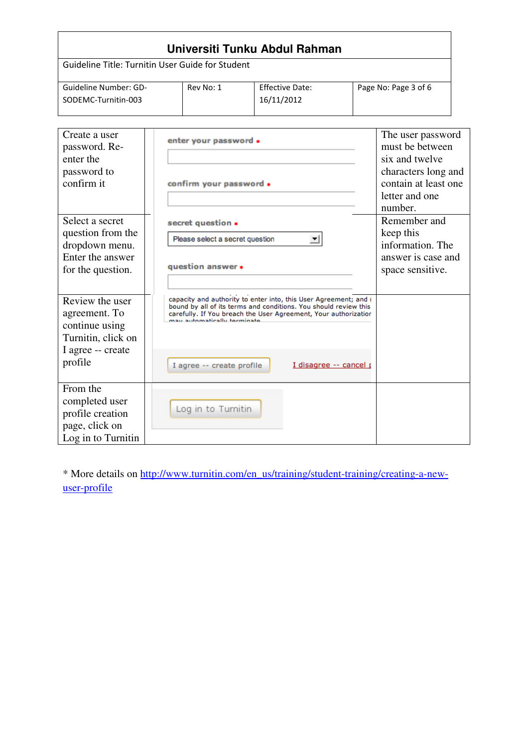| Universiti Tunku Abdul Rahman                                                                            |  |                                                                                                                                                                                                                                                                     |            |                        |  |                                                                                                                                    |  |
|----------------------------------------------------------------------------------------------------------|--|---------------------------------------------------------------------------------------------------------------------------------------------------------------------------------------------------------------------------------------------------------------------|------------|------------------------|--|------------------------------------------------------------------------------------------------------------------------------------|--|
| Guideline Title: Turnitin User Guide for Student                                                         |  |                                                                                                                                                                                                                                                                     |            |                        |  |                                                                                                                                    |  |
| Guideline Number: GD-<br>SODEMC-Turnitin-003                                                             |  | Rev No: 1                                                                                                                                                                                                                                                           | 16/11/2012 | <b>Effective Date:</b> |  | Page No: Page 3 of 6                                                                                                               |  |
| Create a user<br>password. Re-<br>enter the<br>password to<br>confirm it                                 |  | enter your password *<br>confirm your password *                                                                                                                                                                                                                    |            |                        |  | The user password<br>must be between<br>six and twelve<br>characters long and<br>contain at least one<br>letter and one<br>number. |  |
| Select a secret<br>question from the<br>dropdown menu.<br>Enter the answer<br>for the question.          |  | secret question *<br>Please select a secret question<br>question answer *                                                                                                                                                                                           |            | ▼                      |  | Remember and<br>keep this<br>information. The<br>answer is case and<br>space sensitive.                                            |  |
| Review the user<br>agreement. To<br>continue using<br>Turnitin, click on<br>I agree -- create<br>profile |  | capacity and authority to enter into, this User Agreement; and (<br>bound by all of its terms and conditions. You should review this<br>carefully. If You breach the User Agreement, Your authorization<br>may automatically terminate<br>I agree -- create profile |            | I disagree -- cancel p |  |                                                                                                                                    |  |
| From the<br>completed user<br>profile creation<br>page, click on<br>Log in to Turnitin                   |  | Log in to Turnitin                                                                                                                                                                                                                                                  |            |                        |  |                                                                                                                                    |  |

\* More details on http://www.turnitin.com/en\_us/training/student-training/creating-a-newuser-profile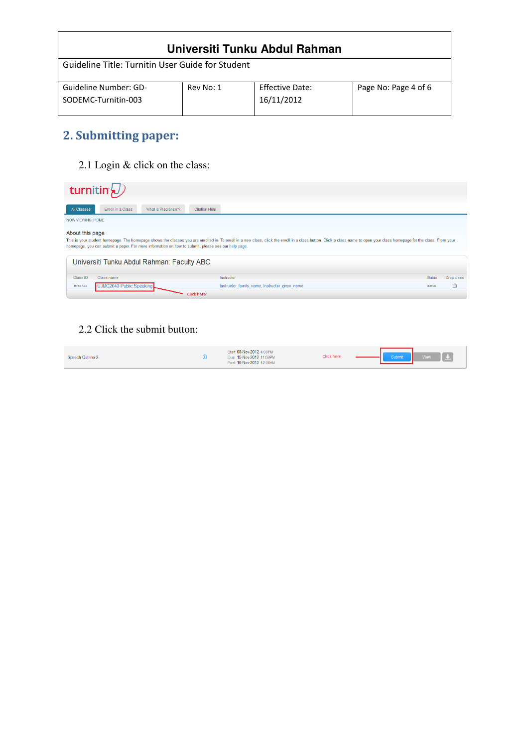| Universiti Tunku Abdul Rahman                    |           |                        |                      |  |
|--------------------------------------------------|-----------|------------------------|----------------------|--|
| Guideline Title: Turnitin User Guide for Student |           |                        |                      |  |
| Guideline Number: GD-                            | Rev No: 1 | <b>Effective Date:</b> | Page No: Page 4 of 6 |  |
| SODEMC-Turnitin-003                              |           | 16/11/2012             |                      |  |

## 2. Submitting paper:

2.1 Login & click on the class:

|                                                                                                                                                                                                                                                                                                                                                   | turnitin $\langle \mathcal{D} \rangle$ |                                            |                      |                                               |               |            |
|---------------------------------------------------------------------------------------------------------------------------------------------------------------------------------------------------------------------------------------------------------------------------------------------------------------------------------------------------|----------------------------------------|--------------------------------------------|----------------------|-----------------------------------------------|---------------|------------|
| All Classes                                                                                                                                                                                                                                                                                                                                       | Enroll in a Class                      | What is Plagiarism?                        | <b>Citation Help</b> |                                               |               |            |
| <b>NOW VIEWING: HOME</b>                                                                                                                                                                                                                                                                                                                          |                                        |                                            |                      |                                               |               |            |
| About this page<br>This is your student homepage. The homepage shows the classes you are enrolled in. To enroll in a new class, click the enroll in a class button. Click a class name to open your class homepage for the class. From your<br>homepage, you can submit a paper. For more information on how to submit, please see our help page. |                                        |                                            |                      |                                               |               |            |
|                                                                                                                                                                                                                                                                                                                                                   |                                        | Universiti Tunku Abdul Rahman: Faculty ABC |                      |                                               |               |            |
| Class ID                                                                                                                                                                                                                                                                                                                                          | Class name                             |                                            |                      | Instructor                                    | <b>Status</b> | Drop class |
| 5767423                                                                                                                                                                                                                                                                                                                                           | UJMC2043 Public Speaking               |                                            |                      | Instructor family name, Instructor given name | active        | 崮          |
|                                                                                                                                                                                                                                                                                                                                                   |                                        |                                            | Click here           |                                               |               |            |

#### 2.2 Click the submit button:

| Post 16-Nov-2012 12:00AM | Speech Outline 2 |  | Start 08-Nov-2012 4:08PM<br>Due 15-Nov-2012 11:59PM | Click here |  | Submit | View : |  |
|--------------------------|------------------|--|-----------------------------------------------------|------------|--|--------|--------|--|
|--------------------------|------------------|--|-----------------------------------------------------|------------|--|--------|--------|--|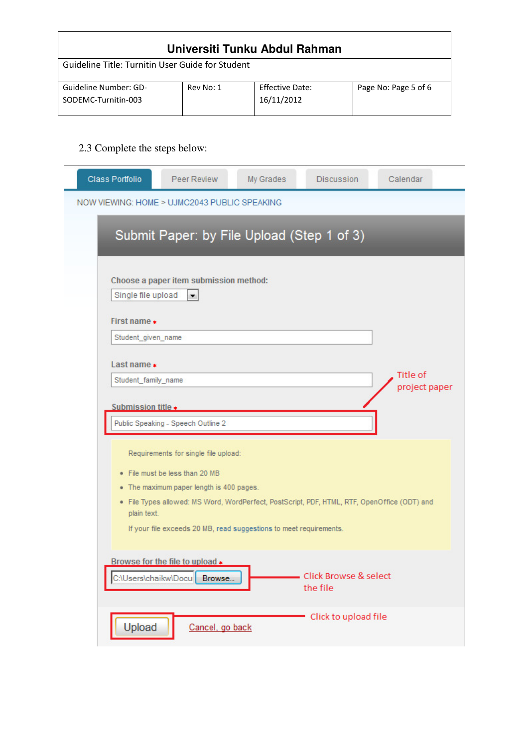| Universiti Tunku Abdul Rahman                    |           |                 |                      |  |  |
|--------------------------------------------------|-----------|-----------------|----------------------|--|--|
| Guideline Title: Turnitin User Guide for Student |           |                 |                      |  |  |
| Guideline Number: GD-                            | Rev No: 1 | Effective Date: | Page No: Page 5 of 6 |  |  |
| SODEMC-Turnitin-003                              |           | 16/11/2012      |                      |  |  |

### 2.3 Complete the steps below:

| Class Portfolio    | Peer Review                                                                                                                                                                                                                                                                              | My Grades | <b>Discussion</b>                 | Calendar                  |
|--------------------|------------------------------------------------------------------------------------------------------------------------------------------------------------------------------------------------------------------------------------------------------------------------------------------|-----------|-----------------------------------|---------------------------|
|                    | NOW VIEWING: HOME > UJMC2043 PUBLIC SPEAKING                                                                                                                                                                                                                                             |           |                                   |                           |
|                    | Submit Paper: by File Upload (Step 1 of 3)                                                                                                                                                                                                                                               |           |                                   |                           |
| Single file upload | Choose a paper item submission method:<br>$\blacksquare$                                                                                                                                                                                                                                 |           |                                   |                           |
| First name $\ast$  |                                                                                                                                                                                                                                                                                          |           |                                   |                           |
| Student_given_name |                                                                                                                                                                                                                                                                                          |           |                                   |                           |
| Last name $\ast$   |                                                                                                                                                                                                                                                                                          |           |                                   |                           |
|                    | Student family name                                                                                                                                                                                                                                                                      |           |                                   | Title of<br>project paper |
| Submission title * |                                                                                                                                                                                                                                                                                          |           |                                   |                           |
|                    | Public Speaking - Speech Outline 2                                                                                                                                                                                                                                                       |           |                                   |                           |
| plain text.        | Requirements for single file upload:<br>• File must be less than 20 MB<br>• The maximum paper length is 400 pages.<br>· File Types allowed: MS Word, WordPerfect, PostScript, PDF, HTML, RTF, OpenOffice (ODT) and<br>If your file exceeds 20 MB, read suggestions to meet requirements. |           |                                   |                           |
|                    | Browse for the file to upload *<br>C:\Users\chaikw\Docu<br>Browse                                                                                                                                                                                                                        |           | Click Browse & select<br>the file |                           |
| Upload             | Cancel, go back                                                                                                                                                                                                                                                                          |           | Click to upload file              |                           |